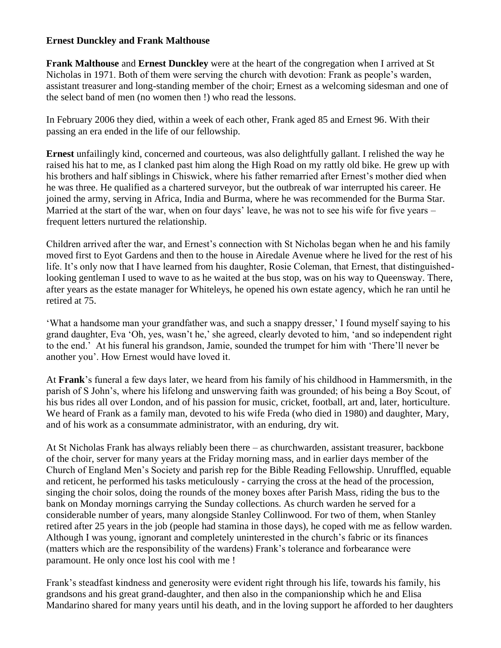## **Ernest Dunckley and Frank Malthouse**

**Frank Malthouse** and **Ernest Dunckley** were at the heart of the congregation when I arrived at St Nicholas in 1971. Both of them were serving the church with devotion: Frank as people's warden, assistant treasurer and long-standing member of the choir; Ernest as a welcoming sidesman and one of the select band of men (no women then !) who read the lessons.

In February 2006 they died, within a week of each other, Frank aged 85 and Ernest 96. With their passing an era ended in the life of our fellowship.

**Ernest** unfailingly kind, concerned and courteous, was also delightfully gallant. I relished the way he raised his hat to me, as I clanked past him along the High Road on my rattly old bike. He grew up with his brothers and half siblings in Chiswick, where his father remarried after Ernest's mother died when he was three. He qualified as a chartered surveyor, but the outbreak of war interrupted his career. He joined the army, serving in Africa, India and Burma, where he was recommended for the Burma Star. Married at the start of the war, when on four days' leave, he was not to see his wife for five years – frequent letters nurtured the relationship.

Children arrived after the war, and Ernest's connection with St Nicholas began when he and his family moved first to Eyot Gardens and then to the house in Airedale Avenue where he lived for the rest of his life. It's only now that I have learned from his daughter, Rosie Coleman, that Ernest, that distinguishedlooking gentleman I used to wave to as he waited at the bus stop, was on his way to Queensway. There, after years as the estate manager for Whiteleys, he opened his own estate agency, which he ran until he retired at 75.

'What a handsome man your grandfather was, and such a snappy dresser,' I found myself saying to his grand daughter, Eva 'Oh, yes, wasn't he,' she agreed, clearly devoted to him, 'and so independent right to the end.' At his funeral his grandson, Jamie, sounded the trumpet for him with 'There'll never be another you'. How Ernest would have loved it.

At **Frank**'s funeral a few days later, we heard from his family of his childhood in Hammersmith, in the parish of S John's, where his lifelong and unswerving faith was grounded; of his being a Boy Scout, of his bus rides all over London, and of his passion for music, cricket, football, art and, later, horticulture. We heard of Frank as a family man, devoted to his wife Freda (who died in 1980) and daughter, Mary, and of his work as a consummate administrator, with an enduring, dry wit.

At St Nicholas Frank has always reliably been there – as churchwarden, assistant treasurer, backbone of the choir, server for many years at the Friday morning mass, and in earlier days member of the Church of England Men's Society and parish rep for the Bible Reading Fellowship. Unruffled, equable and reticent, he performed his tasks meticulously - carrying the cross at the head of the procession, singing the choir solos, doing the rounds of the money boxes after Parish Mass, riding the bus to the bank on Monday mornings carrying the Sunday collections. As church warden he served for a considerable number of years, many alongside Stanley Collinwood. For two of them, when Stanley retired after 25 years in the job (people had stamina in those days), he coped with me as fellow warden. Although I was young, ignorant and completely uninterested in the church's fabric or its finances (matters which are the responsibility of the wardens) Frank's tolerance and forbearance were paramount. He only once lost his cool with me !

Frank's steadfast kindness and generosity were evident right through his life, towards his family, his grandsons and his great grand-daughter, and then also in the companionship which he and Elisa Mandarino shared for many years until his death, and in the loving support he afforded to her daughters